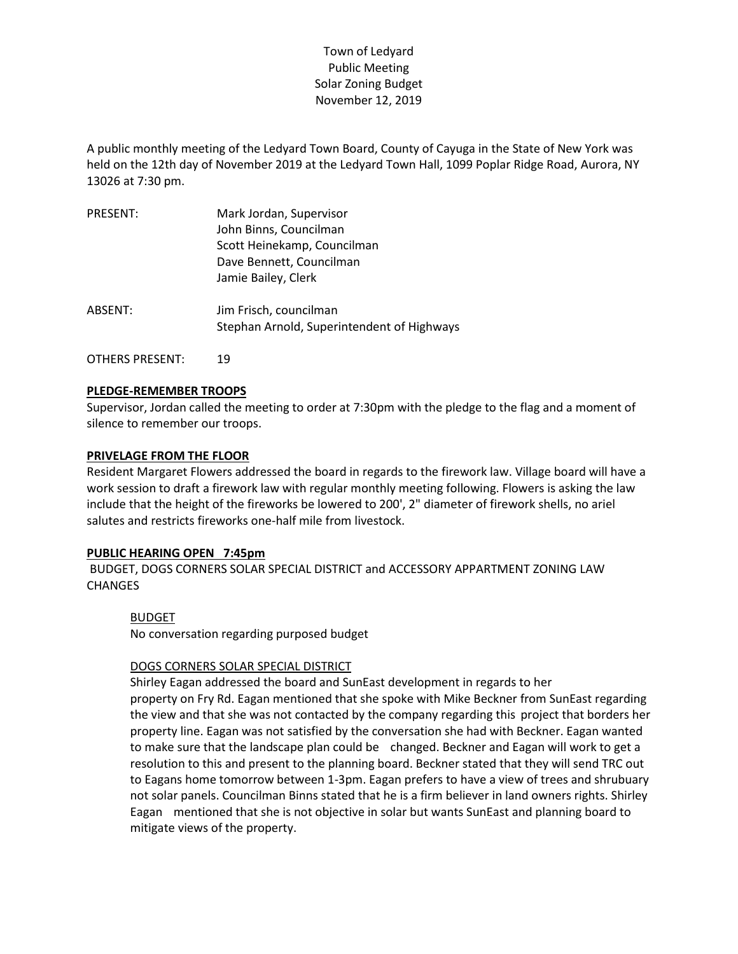A public monthly meeting of the Ledyard Town Board, County of Cayuga in the State of New York was held on the 12th day of November 2019 at the Ledyard Town Hall, 1099 Poplar Ridge Road, Aurora, NY 13026 at 7:30 pm.

| <b>PRESENT:</b>        | Mark Jordan, Supervisor                    |  |  |  |  |
|------------------------|--------------------------------------------|--|--|--|--|
|                        | John Binns, Councilman                     |  |  |  |  |
|                        | Scott Heinekamp, Councilman                |  |  |  |  |
|                        | Dave Bennett, Councilman                   |  |  |  |  |
|                        | Jamie Bailey, Clerk                        |  |  |  |  |
| ABSENT:                | Jim Frisch, councilman                     |  |  |  |  |
|                        | Stephan Arnold, Superintendent of Highways |  |  |  |  |
| <b>OTHERS PRESENT:</b> | 19                                         |  |  |  |  |

# **PLEDGE-REMEMBER TROOPS**

Supervisor, Jordan called the meeting to order at 7:30pm with the pledge to the flag and a moment of silence to remember our troops.

## **PRIVELAGE FROM THE FLOOR**

Resident Margaret Flowers addressed the board in regards to the firework law. Village board will have a work session to draft a firework law with regular monthly meeting following. Flowers is asking the law include that the height of the fireworks be lowered to 200', 2" diameter of firework shells, no ariel salutes and restricts fireworks one-half mile from livestock.

### **PUBLIC HEARING OPEN 7:45pm**

BUDGET, DOGS CORNERS SOLAR SPECIAL DISTRICT and ACCESSORY APPARTMENT ZONING LAW **CHANGES** 

### BUDGET

No conversation regarding purposed budget

### DOGS CORNERS SOLAR SPECIAL DISTRICT

Shirley Eagan addressed the board and SunEast development in regards to her property on Fry Rd. Eagan mentioned that she spoke with Mike Beckner from SunEast regarding the view and that she was not contacted by the company regarding this project that borders her property line. Eagan was not satisfied by the conversation she had with Beckner. Eagan wanted to make sure that the landscape plan could be changed. Beckner and Eagan will work to get a resolution to this and present to the planning board. Beckner stated that they will send TRC out to Eagans home tomorrow between 1-3pm. Eagan prefers to have a view of trees and shrubuary not solar panels. Councilman Binns stated that he is a firm believer in land owners rights. Shirley Eagan mentioned that she is not objective in solar but wants SunEast and planning board to mitigate views of the property.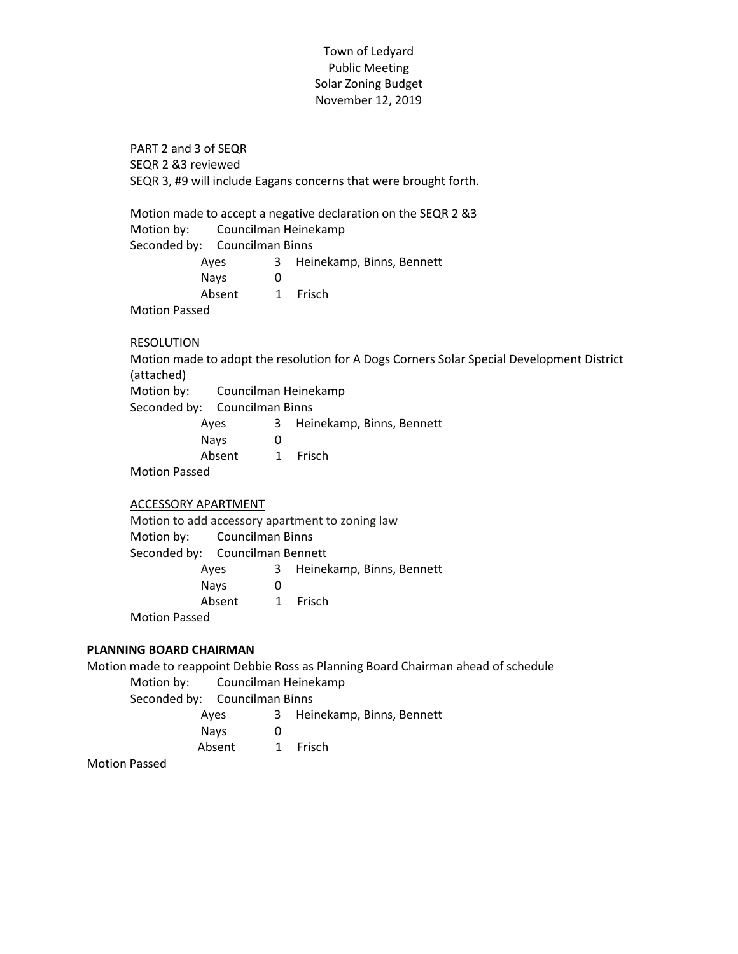PART 2 and 3 of SEQR SEQR 2 &3 reviewed SEQR 3, #9 will include Eagans concerns that were brought forth.

Motion made to accept a negative declaration on the SEQR 2 &3 Motion by: Councilman Heinekamp Seconded by: Councilman Binns Ayes 3 Heinekamp, Binns, Bennett Nays 0 Absent 1 Frisch Motion Passed

**RESOLUTION** 

Motion made to adopt the resolution for A Dogs Corners Solar Special Development District (attached)

Motion by: Councilman Heinekamp Seconded by: Councilman Binns Ayes 3 Heinekamp, Binns, Bennett Nays 0

Absent 1 Frisch

Motion Passed

## ACCESSORY APARTMENT

Motion to add accessory apartment to zoning law Motion by: Councilman Binns Seconded by: Councilman Bennett Ayes 3 Heinekamp, Binns, Bennett Nays 0 Absent 1 Frisch Motion Passed

# **PLANNING BOARD CHAIRMAN**

Motion made to reappoint Debbie Ross as Planning Board Chairman ahead of schedule

Motion by: Councilman Heinekamp

Seconded by: Councilman Binns

| Ayes | 3 Heinekamp, Binns, Bennett |  |
|------|-----------------------------|--|
|      |                             |  |

- Nays 0
- Absent 1 Frisch

Motion Passed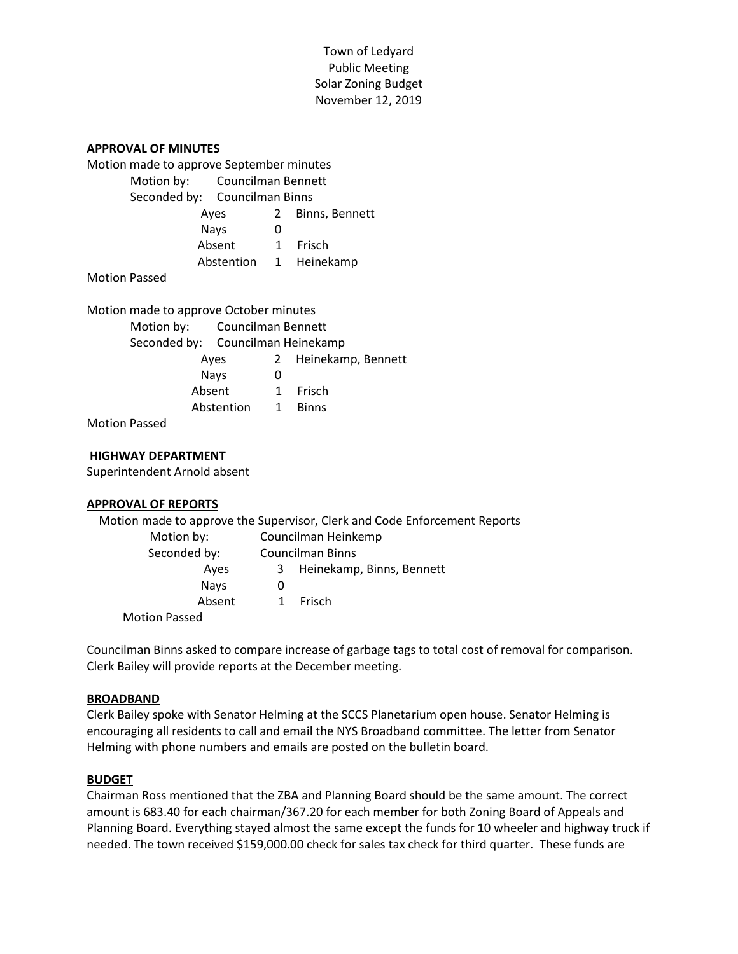### **APPROVAL OF MINUTES**

| Motion made to approve September minutes |                               |   |                        |
|------------------------------------------|-------------------------------|---|------------------------|
| Motion by: Councilman Bennett            |                               |   |                        |
|                                          | Seconded by: Councilman Binns |   |                        |
|                                          | Ayes                          | 2 | Binns, Bennett         |
|                                          | Nays                          | 0 |                        |
|                                          | Absent                        |   | 1 Frisch               |
|                                          |                               |   | Abstention 1 Heinekamp |
| <b>Motion Passed</b>                     |                               |   |                        |

Motion made to approve October minutes Motion by: Councilman Bennett Seconded by: Councilman Heinekamp Ayes 2 Heinekamp, Bennett Nays 0 Absent 1 Frisch Abstention 1 Binns

Motion Passed

#### **HIGHWAY DEPARTMENT**

Superintendent Arnold absent

#### **APPROVAL OF REPORTS**

|                      |                         | Motion made to approve the Supervisor, Clerk and Code Enforcement Reports |  |
|----------------------|-------------------------|---------------------------------------------------------------------------|--|
| Motion by:           | Councilman Heinkemp     |                                                                           |  |
| Seconded by:         | <b>Councilman Binns</b> |                                                                           |  |
| Aves                 |                         | 3 Heinekamp, Binns, Bennett                                               |  |
| <b>Nays</b>          | O                       |                                                                           |  |
| Absent               | 1                       | Frisch                                                                    |  |
| <b>Motion Passed</b> |                         |                                                                           |  |

Councilman Binns asked to compare increase of garbage tags to total cost of removal for comparison. Clerk Bailey will provide reports at the December meeting.

#### **BROADBAND**

Clerk Bailey spoke with Senator Helming at the SCCS Planetarium open house. Senator Helming is encouraging all residents to call and email the NYS Broadband committee. The letter from Senator Helming with phone numbers and emails are posted on the bulletin board.

#### **BUDGET**

Chairman Ross mentioned that the ZBA and Planning Board should be the same amount. The correct amount is 683.40 for each chairman/367.20 for each member for both Zoning Board of Appeals and Planning Board. Everything stayed almost the same except the funds for 10 wheeler and highway truck if needed. The town received \$159,000.00 check for sales tax check for third quarter. These funds are